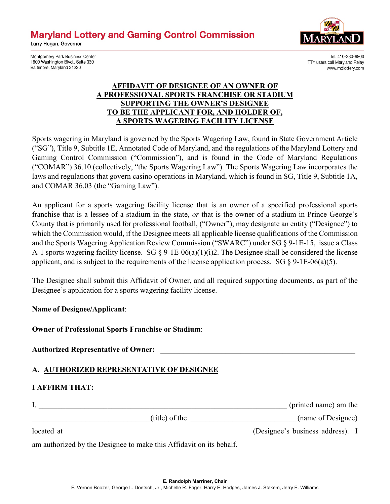**Maryland Lottery and Gaming Control Commission** 





Montgomery Park Business Center 1800 Washington Blvd., Suite 330 Baltimore, Maryland 21230

Tel: 410-230-8800 TTY users call Maryland Relay www.mdlottery.com

## **AFFIDAVIT OF DESIGNEE OF AN OWNER OF A PROFESSIONAL SPORTS FRANCHISE OR STADIUM SUPPORTING THE OWNER'S DESIGNEE TO BE THE APPLICANT FOR, AND HOLDER OF, A SPORTS WAGERING FACILITY LICENSE**

Sports wagering in Maryland is governed by the Sports Wagering Law, found in State Government Article ("SG"), Title 9, Subtitle 1E, Annotated Code of Maryland, and the regulations of the Maryland Lottery and Gaming Control Commission ("Commission"), and is found in the Code of Maryland Regulations ("COMAR") 36.10 (collectively, "the Sports Wagering Law"). The Sports Wagering Law incorporates the laws and regulations that govern casino operations in Maryland, which is found in SG, Title 9, Subtitle 1A, and COMAR 36.03 (the "Gaming Law").

An applicant for a sports wagering facility license that is an owner of a specified professional sports franchise that is a lessee of a stadium in the state, *or* that is the owner of a stadium in Prince George's County that is primarily used for professional football, ("Owner"), may designate an entity ("Designee") to which the Commission would, if the Designee meets all applicable license qualifications of the Commission and the Sports Wagering Application Review Commission ("SWARC") under SG § 9-1E-15, issue a Class A-1 sports wagering facility license. SG  $\S$  9-1E-06(a)(1)(i)2. The Designee shall be considered the license applicant, and is subject to the requirements of the license application process. SG  $\S$  9-1E-06(a)(5).

The Designee shall submit this Affidavit of Owner, and all required supporting documents, as part of the Designee's application for a sports wagering facility license.

Name of Designee/Applicant: **Owner of Professional Sports Franchise or Stadium:** Authorized Representative of Owner: **A. AUTHORIZED REPRESENTATIVE OF DESIGNEE I AFFIRM THAT:**  I, \_\_\_\_\_\_\_\_\_\_\_\_\_\_\_\_\_\_\_\_\_\_\_\_\_\_\_\_\_\_\_\_\_\_\_\_\_\_\_\_\_\_\_\_\_\_\_\_\_\_\_\_\_\_\_\_\_\_\_\_\_\_\_\_\_ (printed name) am the \_\_\_\_\_\_\_\_\_\_\_\_\_\_\_\_\_\_\_\_\_\_\_\_\_\_\_\_\_\_\_(title) of the \_\_\_\_\_\_\_\_\_\_\_\_\_\_\_\_\_\_\_\_\_\_\_\_\_\_\_\_(name of Designee) located at <br>  $(Designee's business address).$  I

am authorized by the Designee to make this Affidavit on its behalf.